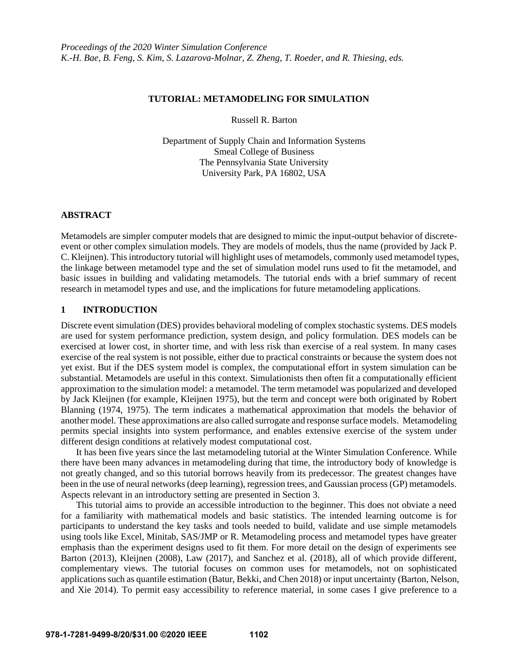# **TUTORIAL: METAMODELING FOR SIMULATION**

Russell R. Barton

Department of Supply Chain and Information Systems Smeal College of Business The Pennsylvania State University University Park, PA 16802, USA

### **ABSTRACT**

Metamodels are simpler computer models that are designed to mimic the input-output behavior of discreteevent or other complex simulation models. They are models of models, thus the name (provided by Jack P. C. Kleijnen). This introductory tutorial will highlight uses of metamodels, commonly used metamodel types, the linkage between metamodel type and the set of simulation model runs used to fit the metamodel, and basic issues in building and validating metamodels. The tutorial ends with a brief summary of recent research in metamodel types and use, and the implications for future metamodeling applications.

### **1 INTRODUCTION**

Discrete event simulation (DES) provides behavioral modeling of complex stochastic systems. DES models are used for system performance prediction, system design, and policy formulation. DES models can be exercised at lower cost, in shorter time, and with less risk than exercise of a real system. In many cases exercise of the real system is not possible, either due to practical constraints or because the system does not yet exist. But if the DES system model is complex, the computational effort in system simulation can be substantial. Metamodels are useful in this context. Simulationists then often fit a computationally efficient approximation to the simulation model: a metamodel. The term metamodel was popularized and developed by Jack Kleijnen (for example, Kleijnen 1975), but the term and concept were both originated by Robert Blanning (1974, 1975). The term indicates a mathematical approximation that models the behavior of another model. These approximations are also called surrogate and response surface models. Metamodeling permits special insights into system performance, and enables extensive exercise of the system under different design conditions at relatively modest computational cost.

It has been five years since the last metamodeling tutorial at the Winter Simulation Conference. While there have been many advances in metamodeling during that time, the introductory body of knowledge is not greatly changed, and so this tutorial borrows heavily from its predecessor. The greatest changes have been in the use of neural networks (deep learning), regression trees, and Gaussian process (GP) metamodels. Aspects relevant in an introductory setting are presented in Section 3.

This tutorial aims to provide an accessible introduction to the beginner. This does not obviate a need for a familiarity with mathematical models and basic statistics. The intended learning outcome is for participants to understand the key tasks and tools needed to build, validate and use simple metamodels using tools like Excel, Minitab, SAS/JMP or R. Metamodeling process and metamodel types have greater emphasis than the experiment designs used to fit them. For more detail on the design of experiments see Barton (2013), Kleijnen (2008), Law (2017), and Sanchez et al. (2018), all of which provide different, complementary views. The tutorial focuses on common uses for metamodels, not on sophisticated applications such as quantile estimation (Batur, Bekki, and Chen 2018) or input uncertainty (Barton, Nelson, and Xie 2014). To permit easy accessibility to reference material, in some cases I give preference to a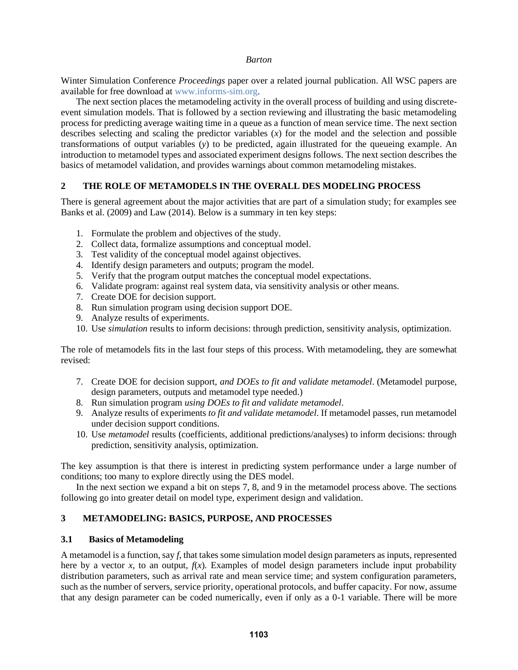Winter Simulation Conference *Proceedings* paper over a related journal publication. All WSC papers are available for free download at [www.informs-sim.org.](http://www.informs-sim.org/)

The next section places the metamodeling activity in the overall process of building and using discreteevent simulation models. That is followed by a section reviewing and illustrating the basic metamodeling process for predicting average waiting time in a queue as a function of mean service time. The next section describes selecting and scaling the predictor variables  $(x)$  for the model and the selection and possible transformations of output variables (*y*) to be predicted, again illustrated for the queueing example. An introduction to metamodel types and associated experiment designs follows. The next section describes the basics of metamodel validation, and provides warnings about common metamodeling mistakes.

# **2 THE ROLE OF METAMODELS IN THE OVERALL DES MODELING PROCESS**

There is general agreement about the major activities that are part of a simulation study; for examples see Banks et al. (2009) and Law (2014). Below is a summary in ten key steps:

- 1. Formulate the problem and objectives of the study.
- 2. Collect data, formalize assumptions and conceptual model.
- 3. Test validity of the conceptual model against objectives.
- 4. Identify design parameters and outputs; program the model.
- 5. Verify that the program output matches the conceptual model expectations.
- 6. Validate program: against real system data, via sensitivity analysis or other means.
- 7. Create DOE for decision support.
- 8. Run simulation program using decision support DOE.
- 9. Analyze results of experiments.
- 10. Use *simulation* results to inform decisions: through prediction, sensitivity analysis, optimization.

The role of metamodels fits in the last four steps of this process. With metamodeling, they are somewhat revised:

- 7. Create DOE for decision support, *and DOEs to fit and validate metamodel*. (Metamodel purpose, design parameters, outputs and metamodel type needed.)
- 8. Run simulation program *using DOEs to fit and validate metamodel*.
- 9. Analyze results of experiments *to fit and validate metamodel*. If metamodel passes, run metamodel under decision support conditions.
- 10. Use *metamodel* results (coefficients, additional predictions/analyses) to inform decisions: through prediction, sensitivity analysis, optimization.

The key assumption is that there is interest in predicting system performance under a large number of conditions; too many to explore directly using the DES model.

In the next section we expand a bit on steps 7, 8, and 9 in the metamodel process above. The sections following go into greater detail on model type, experiment design and validation.

# **3 METAMODELING: BASICS, PURPOSE, AND PROCESSES**

# **3.1 Basics of Metamodeling**

A metamodel is a function, say *f*, that takes some simulation model design parameters as inputs, represented here by a vector *x*, to an output,  $f(x)$ . Examples of model design parameters include input probability distribution parameters, such as arrival rate and mean service time; and system configuration parameters, such as the number of servers, service priority, operational protocols, and buffer capacity. For now, assume that any design parameter can be coded numerically, even if only as a 0-1 variable. There will be more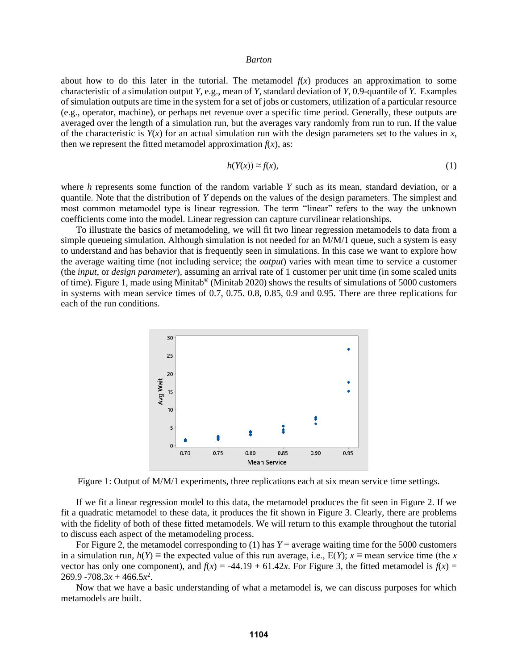about how to do this later in the tutorial. The metamodel  $f(x)$  produces an approximation to some characteristic of a simulation output *Y*, e.g., mean of *Y*, standard deviation of *Y*, 0.9-quantile of *Y*. Examples of simulation outputs are time in the system for a set of jobs or customers, utilization of a particular resource (e.g., operator, machine), or perhaps net revenue over a specific time period. Generally, these outputs are averaged over the length of a simulation run, but the averages vary randomly from run to run. If the value of the characteristic is  $Y(x)$  for an actual simulation run with the design parameters set to the values in x, then we represent the fitted metamodel approximation  $f(x)$ , as:

$$
h(Y(x)) \approx f(x),\tag{1}
$$

where *h* represents some function of the random variable *Y* such as its mean, standard deviation, or a quantile. Note that the distribution of *Y* depends on the values of the design parameters. The simplest and most common metamodel type is linear regression. The term "linear" refers to the way the unknown coefficients come into the model. Linear regression can capture curvilinear relationships.

To illustrate the basics of metamodeling, we will fit two linear regression metamodels to data from a simple queueing simulation. Although simulation is not needed for an M/M/1 queue, such a system is easy to understand and has behavior that is frequently seen in simulations. In this case we want to explore how the average waiting time (not including service; the *output*) varies with mean time to service a customer (the *input*, or *design parameter*), assuming an arrival rate of 1 customer per unit time (in some scaled units of time). Figure 1, made using Minitab® (Minitab 2020) shows the results of simulations of 5000 customers in systems with mean service times of 0.7, 0.75. 0.8, 0.85, 0.9 and 0.95. There are three replications for each of the run conditions.



Figure 1: Output of M/M/1 experiments, three replications each at six mean service time settings.

If we fit a linear regression model to this data, the metamodel produces the fit seen in Figure 2. If we fit a quadratic metamodel to these data, it produces the fit shown in Figure 3. Clearly, there are problems with the fidelity of both of these fitted metamodels. We will return to this example throughout the tutorial to discuss each aspect of the metamodeling process.

For Figure 2, the metamodel corresponding to (1) has  $Y \equiv$  average waiting time for the 5000 customers in a simulation run,  $h(Y) \equiv$  the expected value of this run average, i.e.,  $E(Y)$ ;  $x \equiv$  mean service time (the *x* vector has only one component), and  $f(x) = -44.19 + 61.42x$ . For Figure 3, the fitted metamodel is  $f(x) =$  $269.9 - 708.3x + 466.5x^2$ .

Now that we have a basic understanding of what a metamodel is, we can discuss purposes for which metamodels are built.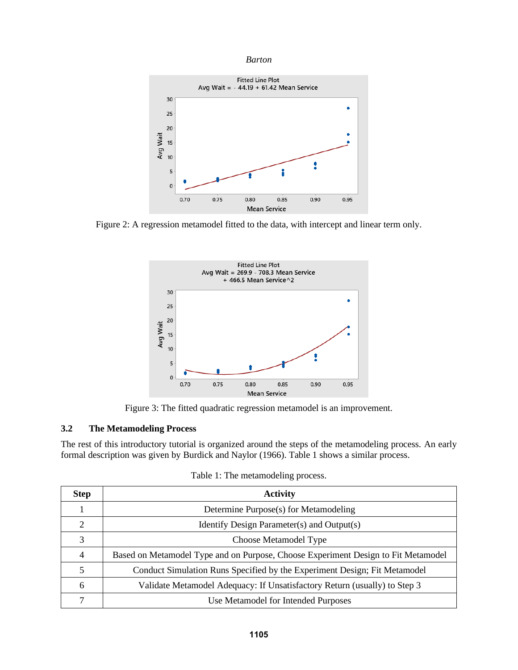



Figure 2: A regression metamodel fitted to the data, with intercept and linear term only.



Figure 3: The fitted quadratic regression metamodel is an improvement.

# **3.2 The Metamodeling Process**

The rest of this introductory tutorial is organized around the steps of the metamodeling process. An early formal description was given by Burdick and Naylor (1966). Table 1 shows a similar process.

| <b>Step</b>   | <b>Activity</b>                                                                   |
|---------------|-----------------------------------------------------------------------------------|
|               | Determine Purpose(s) for Metamodeling                                             |
| $\mathcal{D}$ | Identify Design Parameter(s) and Output(s)                                        |
| 3             | Choose Metamodel Type                                                             |
| 4             | Based on Metamodel Type and on Purpose, Choose Experiment Design to Fit Metamodel |
| 5             | Conduct Simulation Runs Specified by the Experiment Design; Fit Metamodel         |
| 6             | Validate Metamodel Adequacy: If Unsatisfactory Return (usually) to Step 3         |
|               | Use Metamodel for Intended Purposes                                               |

Table 1: The metamodeling process.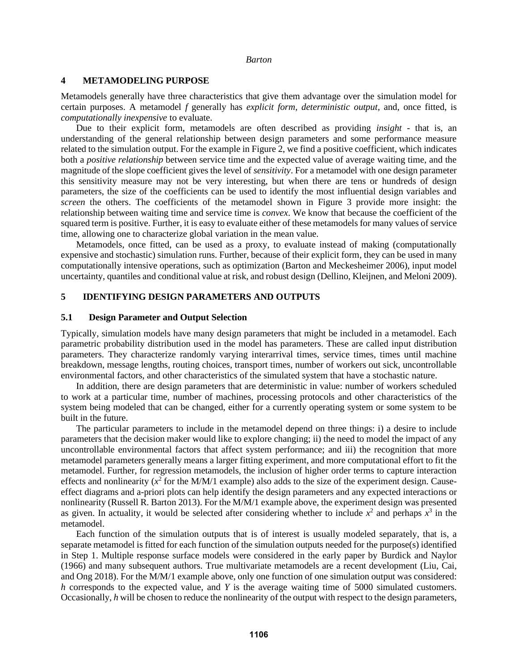# **4 METAMODELING PURPOSE**

Metamodels generally have three characteristics that give them advantage over the simulation model for certain purposes. A metamodel *f* generally has *explicit form*, *deterministic output*, and, once fitted, is *computationally inexpensive* to evaluate.

Due to their explicit form, metamodels are often described as providing *insight* - that is, an understanding of the general relationship between design parameters and some performance measure related to the simulation output. For the example in Figure 2, we find a positive coefficient, which indicates both a *positive relationship* between service time and the expected value of average waiting time, and the magnitude of the slope coefficient gives the level of *sensitivity*. For a metamodel with one design parameter this sensitivity measure may not be very interesting, but when there are tens or hundreds of design parameters, the size of the coefficients can be used to identify the most influential design variables and *screen* the others. The coefficients of the metamodel shown in Figure 3 provide more insight: the relationship between waiting time and service time is *convex*. We know that because the coefficient of the squared term is positive. Further, it is easy to evaluate either of these metamodels for many values of service time, allowing one to characterize global variation in the mean value.

Metamodels, once fitted, can be used as a proxy, to evaluate instead of making (computationally expensive and stochastic) simulation runs. Further, because of their explicit form, they can be used in many computationally intensive operations, such as optimization (Barton and Meckesheimer 2006), input model uncertainty, quantiles and conditional value at risk, and robust design (Dellino, Kleijnen, and Meloni 2009).

# **5 IDENTIFYING DESIGN PARAMETERS AND OUTPUTS**

#### **5.1 Design Parameter and Output Selection**

Typically, simulation models have many design parameters that might be included in a metamodel. Each parametric probability distribution used in the model has parameters. These are called input distribution parameters. They characterize randomly varying interarrival times, service times, times until machine breakdown, message lengths, routing choices, transport times, number of workers out sick, uncontrollable environmental factors, and other characteristics of the simulated system that have a stochastic nature.

In addition, there are design parameters that are deterministic in value: number of workers scheduled to work at a particular time, number of machines, processing protocols and other characteristics of the system being modeled that can be changed, either for a currently operating system or some system to be built in the future.

The particular parameters to include in the metamodel depend on three things: i) a desire to include parameters that the decision maker would like to explore changing; ii) the need to model the impact of any uncontrollable environmental factors that affect system performance; and iii) the recognition that more metamodel parameters generally means a larger fitting experiment, and more computational effort to fit the metamodel. Further, for regression metamodels, the inclusion of higher order terms to capture interaction effects and nonlinearity  $(x^2)$  for the M/M/1 example) also adds to the size of the experiment design. Causeeffect diagrams and a-priori plots can help identify the design parameters and any expected interactions or nonlinearity (Russell R. Barton 2013). For the M/M/1 example above, the experiment design was presented as given. In actuality, it would be selected after considering whether to include  $x^2$  and perhaps  $x^3$  in the metamodel.

Each function of the simulation outputs that is of interest is usually modeled separately, that is, a separate metamodel is fitted for each function of the simulation outputs needed for the purpose(s) identified in Step 1. Multiple response surface models were considered in the early paper by Burdick and Naylor (1966) and many subsequent authors. True multivariate metamodels are a recent development (Liu, Cai, and Ong 2018). For the M/M/1 example above, only one function of one simulation output was considered: *h* corresponds to the expected value, and *Y* is the average waiting time of 5000 simulated customers. Occasionally, *h* will be chosen to reduce the nonlinearity of the output with respect to the design parameters,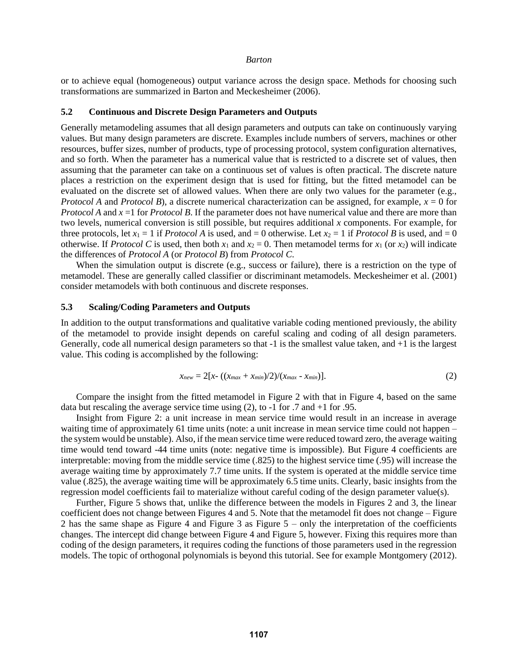or to achieve equal (homogeneous) output variance across the design space. Methods for choosing such transformations are summarized in Barton and Meckesheimer (2006).

# **5.2 Continuous and Discrete Design Parameters and Outputs**

Generally metamodeling assumes that all design parameters and outputs can take on continuously varying values. But many design parameters are discrete. Examples include numbers of servers, machines or other resources, buffer sizes, number of products, type of processing protocol, system configuration alternatives, and so forth. When the parameter has a numerical value that is restricted to a discrete set of values, then assuming that the parameter can take on a continuous set of values is often practical. The discrete nature places a restriction on the experiment design that is used for fitting, but the fitted metamodel can be evaluated on the discrete set of allowed values. When there are only two values for the parameter (e.g., *Protocol A* and *Protocol B*), a discrete numerical characterization can be assigned, for example, *x* = 0 for *Protocol A* and  $x = 1$  for *Protocol B*. If the parameter does not have numerical value and there are more than two levels, numerical conversion is still possible, but requires additional *x* components. For example, for three protocols, let  $x_1 = 1$  if *Protocol A* is used, and  $= 0$  otherwise. Let  $x_2 = 1$  if *Protocol B* is used, and  $= 0$ otherwise. If *Protocol C* is used, then both  $x_1$  and  $x_2 = 0$ . Then metamodel terms for  $x_1$  (or  $x_2$ ) will indicate the differences of *Protocol A* (or *Protocol B*) from *Protocol C*.

When the simulation output is discrete (e.g., success or failure), there is a restriction on the type of metamodel. These are generally called classifier or discriminant metamodels. Meckesheimer et al. (2001) consider metamodels with both continuous and discrete responses.

# **5.3 Scaling/Coding Parameters and Outputs**

In addition to the output transformations and qualitative variable coding mentioned previously, the ability of the metamodel to provide insight depends on careful scaling and coding of all design parameters. Generally, code all numerical design parameters so that -1 is the smallest value taken, and +1 is the largest value. This coding is accomplished by the following:

$$
x_{new} = 2[x - ((x_{max} + x_{min})/2)/(x_{max} - x_{min})].
$$
 (2)

Compare the insight from the fitted metamodel in Figure 2 with that in Figure 4, based on the same data but rescaling the average service time using (2), to -1 for .7 and +1 for .95.

Insight from Figure 2: a unit increase in mean service time would result in an increase in average waiting time of approximately 61 time units (note: a unit increase in mean service time could not happen – the system would be unstable). Also, if the mean service time were reduced toward zero, the average waiting time would tend toward -44 time units (note: negative time is impossible). But Figure 4 coefficients are interpretable: moving from the middle service time (.825) to the highest service time (.95) will increase the average waiting time by approximately 7.7 time units. If the system is operated at the middle service time value (.825), the average waiting time will be approximately 6.5 time units. Clearly, basic insights from the regression model coefficients fail to materialize without careful coding of the design parameter value(s).

Further, Figure 5 shows that, unlike the difference between the models in Figures 2 and 3, the linear coefficient does not change between Figures 4 and 5. Note that the metamodel fit does not change – Figure 2 has the same shape as Figure 4 and Figure 3 as Figure  $5 -$  only the interpretation of the coefficients changes. The intercept did change between Figure 4 and Figure 5, however. Fixing this requires more than coding of the design parameters, it requires coding the functions of those parameters used in the regression models. The topic of orthogonal polynomials is beyond this tutorial. See for example Montgomery (2012).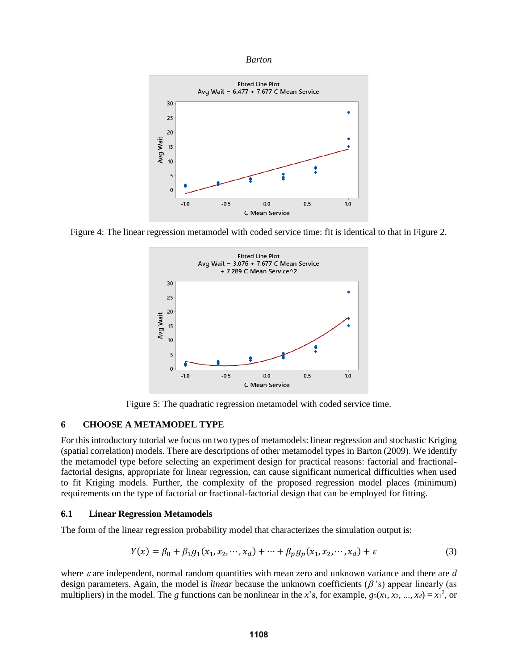*Barton*



Figure 4: The linear regression metamodel with coded service time: fit is identical to that in Figure 2.



Figure 5: The quadratic regression metamodel with coded service time.

### **6 CHOOSE A METAMODEL TYPE**

For this introductory tutorial we focus on two types of metamodels: linear regression and stochastic Kriging (spatial correlation) models. There are descriptions of other metamodel types in Barton (2009). We identify the metamodel type before selecting an experiment design for practical reasons: factorial and fractionalfactorial designs, appropriate for linear regression, can cause significant numerical difficulties when used to fit Kriging models. Further, the complexity of the proposed regression model places (minimum) requirements on the type of factorial or fractional-factorial design that can be employed for fitting.

#### **6.1 Linear Regression Metamodels**

The form of the linear regression probability model that characterizes the simulation output is:

$$
Y(x) = \beta_0 + \beta_1 g_1(x_1, x_2, \cdots, x_d) + \cdots + \beta_p g_p(x_1, x_2, \cdots, x_d) + \varepsilon
$$
 (3)

where  $\varepsilon$  are independent, normal random quantities with mean zero and unknown variance and there are  $d$ design parameters. Again, the model is *linear* because the unknown coefficients  $(\beta'')$  appear linearly (as multipliers) in the model. The *g* functions can be nonlinear in the *x*'s, for example,  $g_5(x_1, x_2, ..., x_d) = x_1^2$ , or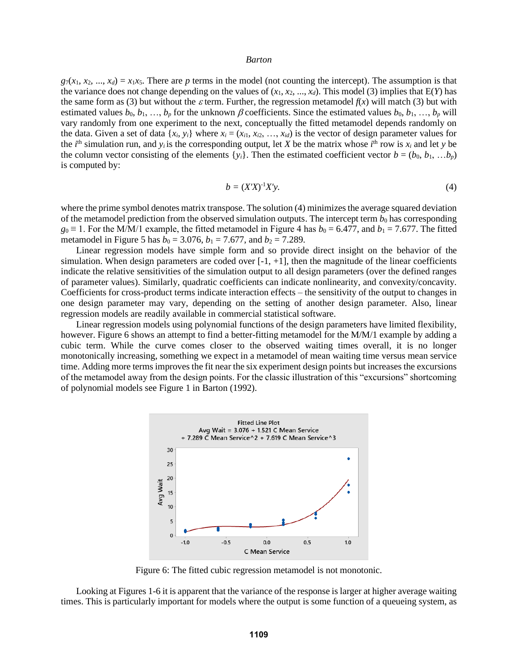$g_7(x_1, x_2, ..., x_d) = x_1x_5$ . There are *p* terms in the model (not counting the intercept). The assumption is that the variance does not change depending on the values of  $(x_1, x_2, ..., x_d)$ . This model (3) implies that  $E(Y)$  has the same form as (3) but without the  $\varepsilon$  term. Further, the regression metamodel  $f(x)$  will match (3) but with estimated values  $b_0, b_1, ..., b_p$  for the unknown  $\beta$  coefficients. Since the estimated values  $b_0, b_1, ..., b_p$  will vary randomly from one experiment to the next, conceptually the fitted metamodel depends randomly on the data. Given a set of data  $\{x_i, y_i\}$  where  $x_i = (x_{i1}, x_{i2}, \ldots, x_{id})$  is the vector of design parameter values for the *i*<sup>th</sup> simulation run, and *y<sub>i</sub>* is the corresponding output, let *X* be the matrix whose *i*<sup>th</sup> row is  $x_i$  and let *y* be the column vector consisting of the elements  $\{y_i\}$ . Then the estimated coefficient vector  $b = (b_0, b_1, \ldots, b_p)$ is computed by:

$$
b = (X'X)^{-1}X'y.
$$

where the prime symbol denotes matrix transpose. The solution (4) minimizes the average squared deviation of the metamodel prediction from the observed simulation outputs. The intercept term  $b_0$  has corresponding  $g_0 \equiv 1$ . For the M/M/1 example, the fitted metamodel in Figure 4 has  $b_0 = 6.477$ , and  $b_1 = 7.677$ . The fitted metamodel in Figure 5 has  $b_0 = 3.076$ ,  $b_1 = 7.677$ , and  $b_2 = 7.289$ .

Linear regression models have simple form and so provide direct insight on the behavior of the simulation. When design parameters are coded over  $[-1, +1]$ , then the magnitude of the linear coefficients indicate the relative sensitivities of the simulation output to all design parameters (over the defined ranges of parameter values). Similarly, quadratic coefficients can indicate nonlinearity, and convexity/concavity. Coefficients for cross-product terms indicate interaction effects – the sensitivity of the output to changes in one design parameter may vary, depending on the setting of another design parameter. Also, linear regression models are readily available in commercial statistical software.

Linear regression models using polynomial functions of the design parameters have limited flexibility, however. Figure 6 shows an attempt to find a better-fitting metamodel for the M/M/1 example by adding a cubic term. While the curve comes closer to the observed waiting times overall, it is no longer monotonically increasing, something we expect in a metamodel of mean waiting time versus mean service time. Adding more terms improves the fit near the six experiment design points but increases the excursions of the metamodel away from the design points. For the classic illustration of this "excursions" shortcoming of polynomial models see Figure 1 in Barton (1992).



Figure 6: The fitted cubic regression metamodel is not monotonic.

Looking at Figures 1-6 it is apparent that the variance of the response is larger at higher average waiting times. This is particularly important for models where the output is some function of a queueing system, as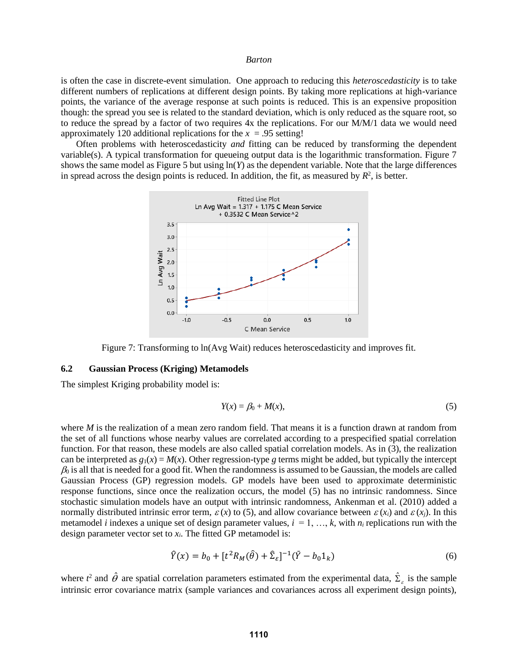is often the case in discrete-event simulation. One approach to reducing this *heteroscedasticity* is to take different numbers of replications at different design points. By taking more replications at high-variance points, the variance of the average response at such points is reduced. This is an expensive proposition though: the spread you see is related to the standard deviation, which is only reduced as the square root, so to reduce the spread by a factor of two requires 4x the replications. For our M/M/1 data we would need approximately 120 additional replications for the  $x = .95$  setting!

Often problems with heteroscedasticity *and* fitting can be reduced by transforming the dependent variable(s). A typical transformation for queueing output data is the logarithmic transformation. Figure 7 shows the same model as Figure 5 but using ln(*Y*) as the dependent variable. Note that the large differences in spread across the design points is reduced. In addition, the fit, as measured by  $R^2$ , is better.



Figure 7: Transforming to ln(Avg Wait) reduces heteroscedasticity and improves fit.

## **6.2 Gaussian Process (Kriging) Metamodels**

The simplest Kriging probability model is:

$$
Y(x) = \beta_0 + M(x),\tag{5}
$$

where *M* is the realization of a mean zero random field. That means it is a function drawn at random from the set of all functions whose nearby values are correlated according to a prespecified spatial correlation function. For that reason, these models are also called spatial correlation models. As in (3), the realization can be interpreted as  $g_1(x) = M(x)$ . Other regression-type g terms might be added, but typically the intercept  $\beta_0$  is all that is needed for a good fit. When the randomness is assumed to be Gaussian, the models are called Gaussian Process (GP) regression models. GP models have been used to approximate deterministic response functions, since once the realization occurs, the model (5) has no intrinsic randomness. Since stochastic simulation models have an output with intrinsic randomness, Ankenman et al. (2010) added a normally distributed intrinsic error term,  $\varepsilon(x)$  to (5), and allow covariance between  $\varepsilon(x_i)$  and  $\varepsilon(x_j)$ . In this metamodel *i* indexes a unique set of design parameter values,  $i = 1, ..., k$ , with  $n_i$  replications run with the design parameter vector set to  $x_i$ . The fitted GP metamodel is:

$$
\hat{Y}(x) = b_0 + [t^2 R_M(\hat{\theta}) + \hat{\Sigma}_{\varepsilon}]^{-1} (\bar{Y} - b_0 1_k)
$$
\n(6)

where  $t^2$  and  $\hat{\theta}$  are spatial correlation parameters estimated from the experimental data,  $\hat{\Sigma}_\varepsilon$  is the sample intrinsic error covariance matrix (sample variances and covariances across all experiment design points),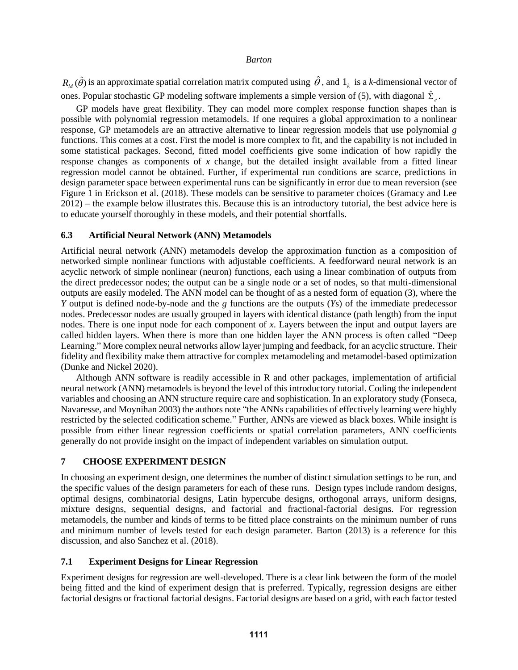$R_M(\hat{\theta})$  is an approximate spatial correlation matrix computed using  $\hat{\theta}$ , and  $1_k$  is a *k*-dimensional vector of ones. Popular stochastic GP modeling software implements a simple version of (5), with diagonal  $\hat{\Sigma}_s$ .

GP models have great flexibility. They can model more complex response function shapes than is possible with polynomial regression metamodels. If one requires a global approximation to a nonlinear response, GP metamodels are an attractive alternative to linear regression models that use polynomial *g* functions. This comes at a cost. First the model is more complex to fit, and the capability is not included in some statistical packages. Second, fitted model coefficients give some indication of how rapidly the response changes as components of *x* change, but the detailed insight available from a fitted linear regression model cannot be obtained. Further, if experimental run conditions are scarce, predictions in design parameter space between experimental runs can be significantly in error due to mean reversion (see Figure 1 in Erickson et al. (2018). These models can be sensitive to parameter choices (Gramacy and Lee 2012) – the example below illustrates this. Because this is an introductory tutorial, the best advice here is to educate yourself thoroughly in these models, and their potential shortfalls.

### **6.3 Artificial Neural Network (ANN) Metamodels**

Artificial neural network (ANN) metamodels develop the approximation function as a composition of networked simple nonlinear functions with adjustable coefficients. A feedforward neural network is an acyclic network of simple nonlinear (neuron) functions, each using a linear combination of outputs from the direct predecessor nodes; the output can be a single node or a set of nodes, so that multi-dimensional outputs are easily modeled. The ANN model can be thought of as a nested form of equation (3), where the *Y* output is defined node-by-node and the *g* functions are the outputs (*Y*s) of the immediate predecessor nodes. Predecessor nodes are usually grouped in layers with identical distance (path length) from the input nodes. There is one input node for each component of *x*. Layers between the input and output layers are called hidden layers. When there is more than one hidden layer the ANN process is often called "Deep Learning." More complex neural networks allow layer jumping and feedback, for an acyclic structure. Their fidelity and flexibility make them attractive for complex metamodeling and metamodel-based optimization (Dunke and Nickel 2020).

Although ANN software is readily accessible in R and other packages, implementation of artificial neural network (ANN) metamodels is beyond the level of this introductory tutorial. Coding the independent variables and choosing an ANN structure require care and sophistication. In an exploratory study (Fonseca, Navaresse, and Moynihan 2003) the authors note "the ANNs capabilities of effectively learning were highly restricted by the selected codification scheme." Further, ANNs are viewed as black boxes. While insight is possible from either linear regression coefficients or spatial correlation parameters, ANN coefficients generally do not provide insight on the impact of independent variables on simulation output.

# **7 CHOOSE EXPERIMENT DESIGN**

In choosing an experiment design, one determines the number of distinct simulation settings to be run, and the specific values of the design parameters for each of these runs. Design types include random designs, optimal designs, combinatorial designs, Latin hypercube designs, orthogonal arrays, uniform designs, mixture designs, sequential designs, and factorial and fractional-factorial designs. For regression metamodels, the number and kinds of terms to be fitted place constraints on the minimum number of runs and minimum number of levels tested for each design parameter. Barton (2013) is a reference for this discussion, and also Sanchez et al. (2018).

# **7.1 Experiment Designs for Linear Regression**

Experiment designs for regression are well-developed. There is a clear link between the form of the model being fitted and the kind of experiment design that is preferred. Typically, regression designs are either factorial designs or fractional factorial designs. Factorial designs are based on a grid, with each factor tested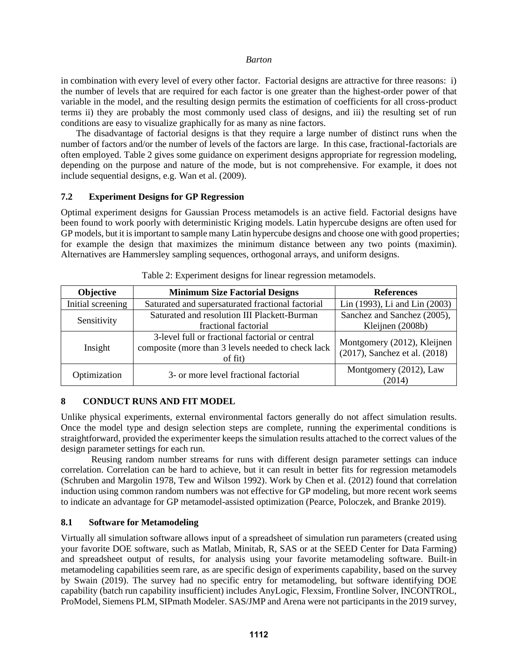in combination with every level of every other factor. Factorial designs are attractive for three reasons: i) the number of levels that are required for each factor is one greater than the highest-order power of that variable in the model, and the resulting design permits the estimation of coefficients for all cross-product terms ii) they are probably the most commonly used class of designs, and iii) the resulting set of run conditions are easy to visualize graphically for as many as nine factors.

The disadvantage of factorial designs is that they require a large number of distinct runs when the number of factors and/or the number of levels of the factors are large. In this case, fractional-factorials are often employed. Table 2 gives some guidance on experiment designs appropriate for regression modeling, depending on the purpose and nature of the mode, but is not comprehensive. For example, it does not include sequential designs, e.g. Wan et al. (2009).

# **7.2 Experiment Designs for GP Regression**

Optimal experiment designs for Gaussian Process metamodels is an active field. Factorial designs have been found to work poorly with deterministic Kriging models. Latin hypercube designs are often used for GP models, but it is important to sample many Latin hypercube designs and choose one with good properties; for example the design that maximizes the minimum distance between any two points (maximin). Alternatives are Hammersley sampling sequences, orthogonal arrays, and uniform designs.

| Objective         | <b>Minimum Size Factorial Designs</b>                                                                            | <b>References</b>                                            |  |
|-------------------|------------------------------------------------------------------------------------------------------------------|--------------------------------------------------------------|--|
| Initial screening | Saturated and supersaturated fractional factorial                                                                | Lin (1993), Li and Lin (2003)                                |  |
| Sensitivity       | Saturated and resolution III Plackett-Burman<br>fractional factorial                                             | Sanchez and Sanchez (2005),<br>Kleijnen (2008b)              |  |
| Insight           | 3-level full or fractional factorial or central<br>composite (more than 3 levels needed to check lack<br>of fit) | Montgomery (2012), Kleijnen<br>(2017), Sanchez et al. (2018) |  |
| Optimization      | 3- or more level fractional factorial                                                                            | Montgomery (2012), Law<br>(2014)                             |  |

|  | Table 2: Experiment designs for linear regression metamodels. |  |
|--|---------------------------------------------------------------|--|
|  |                                                               |  |
|  |                                                               |  |
|  |                                                               |  |

# **8 CONDUCT RUNS AND FIT MODEL**

Unlike physical experiments, external environmental factors generally do not affect simulation results. Once the model type and design selection steps are complete, running the experimental conditions is straightforward, provided the experimenter keeps the simulation results attached to the correct values of the design parameter settings for each run.

Reusing random number streams for runs with different design parameter settings can induce correlation. Correlation can be hard to achieve, but it can result in better fits for regression metamodels (Schruben and Margolin 1978, Tew and Wilson 1992). Work by Chen et al. (2012) found that correlation induction using common random numbers was not effective for GP modeling, but more recent work seems to indicate an advantage for GP metamodel-assisted optimization (Pearce, Poloczek, and Branke 2019).

# **8.1 Software for Metamodeling**

Virtually all simulation software allows input of a spreadsheet of simulation run parameters (created using your favorite DOE software, such as Matlab, Minitab, R, SAS or at the SEED Center for Data Farming) and spreadsheet output of results, for analysis using your favorite metamodeling software. Built-in metamodeling capabilities seem rare, as are specific design of experiments capability, based on the survey by Swain (2019). The survey had no specific entry for metamodeling, but software identifying DOE capability (batch run capability insufficient) includes AnyLogic, Flexsim, Frontline Solver, INCONTROL, ProModel, Siemens PLM, SIPmath Modeler. SAS/JMP and Arena were not participants in the 2019 survey,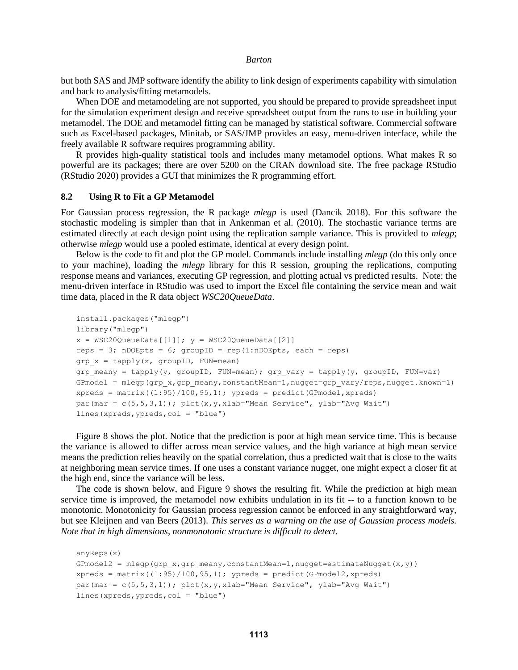but both SAS and JMP software identify the ability to link design of experiments capability with simulation and back to analysis/fitting metamodels.

When DOE and metamodeling are not supported, you should be prepared to provide spreadsheet input for the simulation experiment design and receive spreadsheet output from the runs to use in building your metamodel. The DOE and metamodel fitting can be managed by statistical software. Commercial software such as Excel-based packages, Minitab, or SAS/JMP provides an easy, menu-driven interface, while the freely available R software requires programming ability.

R provides high-quality statistical tools and includes many metamodel options. What makes R so powerful are its packages; there are over 5200 on the CRAN download site. The free package RStudio (RStudio 2020) provides a GUI that minimizes the R programming effort.

#### **8.2 Using R to Fit a GP Metamodel**

For Gaussian process regression, the R package *mlegp* is used (Dancik 2018). For this software the stochastic modeling is simpler than that in Ankenman et al. (2010). The stochastic variance terms are estimated directly at each design point using the replication sample variance. This is provided to *mlegp*; otherwise *mlegp* would use a pooled estimate, identical at every design point.

Below is the code to fit and plot the GP model. Commands include installing *mlegp* (do this only once to your machine), loading the *mlegp* library for this R session, grouping the replications, computing response means and variances, executing GP regression, and plotting actual vs predicted results. Note: the menu-driven interface in RStudio was used to import the Excel file containing the service mean and wait time data, placed in the R data object *WSC20QueueData*.

```
install.packages("mlegp")
library("mlegp")
x = WSC20QueueData[[1]]; y = WSC20QueueData[[2]]reps = 3; nDOEpts = 6; groupID = rep(1:nDOEpts, each = reps)
grp x = tapply(x, groupID, FUN=mean)grp meany = tapply(y, groupID, FUN=mean); grp vary = tapply(y, groupID, FUN=var)
GPmodel = mlegp(grp x,grp meany,constantMean=1,nugget=grp vary/reps,nugget.known=1)
xpreds = matrix((1:95)/100, 95, 1); ypreds = predict(GPmodel, xpreds)
par(mar = c(5,5,3,1)); plot(x, y, xlab="Mean Service", ylab="Avq Wait")
lines(xpreds,ypreds,col = "blue")
```
Figure 8 shows the plot. Notice that the prediction is poor at high mean service time. This is because the variance is allowed to differ across mean service values, and the high variance at high mean service means the prediction relies heavily on the spatial correlation, thus a predicted wait that is close to the waits at neighboring mean service times. If one uses a constant variance nugget, one might expect a closer fit at the high end, since the variance will be less.

The code is shown below, and Figure 9 shows the resulting fit. While the prediction at high mean service time is improved, the metamodel now exhibits undulation in its fit -- to a function known to be monotonic. Monotonicity for Gaussian process regression cannot be enforced in any straightforward way, but see Kleijnen and van Beers (2013). *This serves as a warning on the use of Gaussian process models. Note that in high dimensions, nonmonotonic structure is difficult to detect.*

```
anyReps(x)
GPmodel2 = mlegp(grp x,grp meany,constantMean=1,nugget=estimateNugget(x,y))
xpreds = matrix((1:95)/100, 95, 1); ypreds = predict(GPmodel2, xpreds)par(mar = c(5,5,3,1)); plot(x, y, xlab="Mean Service", ylab="Avq Wait")
lines(xpreds,ypreds,col = "blue")
```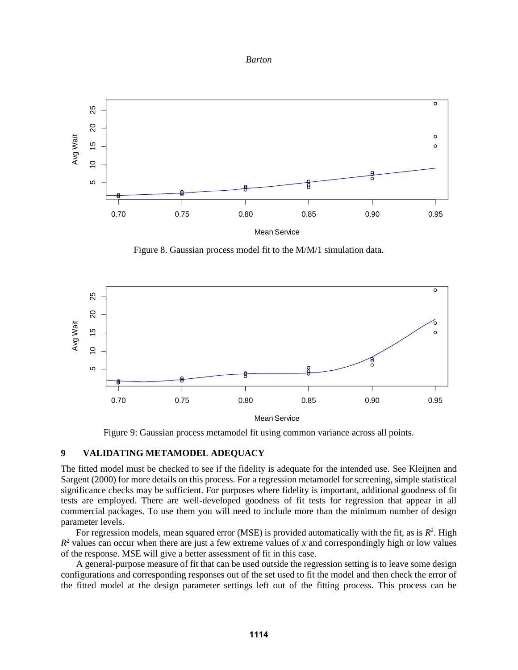



Figure 8. Gaussian process model fit to the M/M/1 simulation data.



Figure 9: Gaussian process metamodel fit using common variance across all points.

# **9 VALIDATING METAMODEL ADEQUACY**

The fitted model must be checked to see if the fidelity is adequate for the intended use. See Kleijnen and Sargent (2000) for more details on this process. For a regression metamodel for screening, simple statistical significance checks may be sufficient. For purposes where fidelity is important, additional goodness of fit tests are employed. There are well-developed goodness of fit tests for regression that appear in all commercial packages. To use them you will need to include more than the minimum number of design parameter levels.

For regression models, mean squared error (MSE) is provided automatically with the fit, as is  $R^2$ . High  $R<sup>2</sup>$  values can occur when there are just a few extreme values of *x* and correspondingly high or low values of the response. MSE will give a better assessment of fit in this case.

A general-purpose measure of fit that can be used outside the regression setting is to leave some design configurations and corresponding responses out of the set used to fit the model and then check the error of the fitted model at the design parameter settings left out of the fitting process. This process can be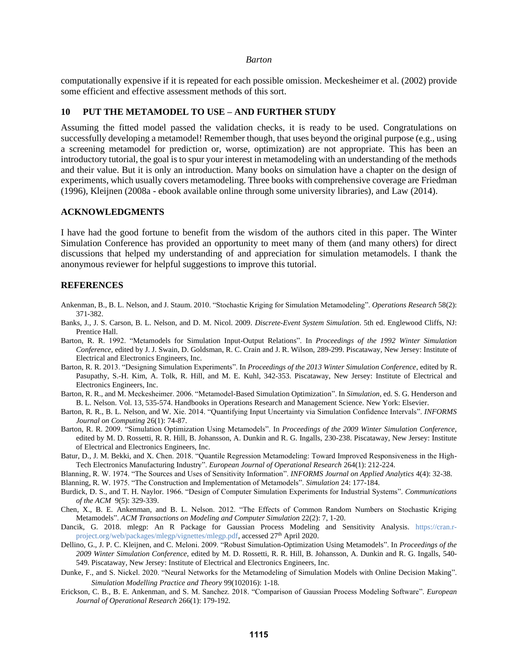computationally expensive if it is repeated for each possible omission. Meckesheimer et al. (2002) provide some efficient and effective assessment methods of this sort.

# **10 PUT THE METAMODEL TO USE – AND FURTHER STUDY**

Assuming the fitted model passed the validation checks, it is ready to be used. Congratulations on successfully developing a metamodel! Remember though, that uses beyond the original purpose (e.g., using a screening metamodel for prediction or, worse, optimization) are not appropriate. This has been an introductory tutorial, the goal is to spur your interest in metamodeling with an understanding of the methods and their value. But it is only an introduction. Many books on simulation have a chapter on the design of experiments, which usually covers metamodeling. Three books with comprehensive coverage are Friedman (1996), Kleijnen (2008a - ebook available online through some university libraries), and Law (2014).

#### **ACKNOWLEDGMENTS**

I have had the good fortune to benefit from the wisdom of the authors cited in this paper. The Winter Simulation Conference has provided an opportunity to meet many of them (and many others) for direct discussions that helped my understanding of and appreciation for simulation metamodels. I thank the anonymous reviewer for helpful suggestions to improve this tutorial.

#### **REFERENCES**

- Ankenman, B., B. L. Nelson, and J. Staum. 2010. "Stochastic Kriging for Simulation Metamodeling". *Operations Research* 58(2): 371-382.
- Banks, J., J. S. Carson, B. L. Nelson, and D. M. Nicol. 2009. *Discrete-Event System Simulation*. 5th ed. Englewood Cliffs, NJ: Prentice Hall.
- Barton, R. R. 1992. "Metamodels for Simulation Input-Output Relations". In *Proceedings of the 1992 Winter Simulation Conference*, edited by J. J. Swain, D. Goldsman, R. C. Crain and J. R. Wilson, 289-299. Piscataway, New Jersey: Institute of Electrical and Electronics Engineers, Inc.
- Barton, R. R. 2013. "Designing Simulation Experiments". In *Proceedings of the 2013 Winter Simulation Conference*, edited by R. Pasupathy, S.-H. Kim, A. Tolk, R. Hill, and M. E. Kuhl, 342-353. Piscataway, New Jersey: Institute of Electrical and Electronics Engineers, Inc.
- Barton, R. R., and M. Meckesheimer. 2006. "Metamodel-Based Simulation Optimization". In *Simulation*, ed. S. G. Henderson and B. L. Nelson. Vol. 13, 535-574. Handbooks in Operations Research and Management Science. New York: Elsevier.
- Barton, R. R., B. L. Nelson, and W. Xie. 2014. "Quantifying Input Uncertainty via Simulation Confidence Intervals". *INFORMS Journal on Computing* 26(1): 74-87.
- Barton, R. R. 2009. "Simulation Optimization Using Metamodels". In *Proceedings of the 2009 Winter Simulation Conference*, edited by M. D. Rossetti, R. R. Hill, B. Johansson, A. Dunkin and R. G. Ingalls, 230-238. Piscataway, New Jersey: Institute of Electrical and Electronics Engineers, Inc.
- Batur, D., J. M. Bekki, and X. Chen. 2018. "Quantile Regression Metamodeling: Toward Improved Responsiveness in the High-Tech Electronics Manufacturing Industry". *European Journal of Operational Research* 264(1): 212-224.
- Blanning, R. W. 1974. "The Sources and Uses of Sensitivity Information". *INFORMS Journal on Applied Analytics* 4(4): 32-38.
- Blanning, R. W. 1975. "The Construction and Implementation of Metamodels". *Simulation* 24: 177-184.
- Burdick, D. S., and T. H. Naylor. 1966. "Design of Computer Simulation Experiments for Industrial Systems". *Communications of the ACM* 9(5): 329-339.
- Chen, X., B. E. Ankenman, and B. L. Nelson. 2012. "The Effects of Common Random Numbers on Stochastic Kriging Metamodels". *ACM Transactions on Modeling and Computer Simulation* 22(2): 7, 1-20.
- Dancik, G. 2018. mlegp: An R Package for Gaussian Process Modeling and Sensitivity Analysis. [https://cran.r](https://cran.r-project.org/web/packages/mlegp/vignettes/mlegp.pdf)[project.org/web/packages/mlegp/vignettes/mlegp.pdf,](https://cran.r-project.org/web/packages/mlegp/vignettes/mlegp.pdf) accessed 27<sup>th</sup> April 2020.
- Dellino, G., J. P. C. Kleijnen, and C. Meloni. 2009. "Robust Simulation-Optimization Using Metamodels". In *Proceedings of the 2009 Winter Simulation Conference*, edited by M. D. Rossetti, R. R. Hill, B. Johansson, A. Dunkin and R. G. Ingalls, 540- 549. Piscataway, New Jersey: Institute of Electrical and Electronics Engineers, Inc.
- Dunke, F., and S. Nickel. 2020. "Neural Networks for the Metamodeling of Simulation Models with Online Decision Making". *Simulation Modelling Practice and Theory* 99(102016): 1-18.
- Erickson, C. B., B. E. Ankenman, and S. M. Sanchez. 2018. "Comparison of Gaussian Process Modeling Software". *European Journal of Operational Research* 266(1): 179-192.